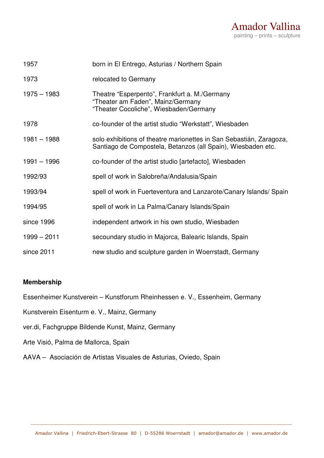

| 1957          | born in El Entrego, Asturias / Northern Spain                                                                                       |
|---------------|-------------------------------------------------------------------------------------------------------------------------------------|
| 1973          | relocated to Germany                                                                                                                |
| $1975 - 1983$ | Theatre "Esperpento", Frankfurt a. M./Germany<br>"Theater am Faden", Mainz/Germany<br>"Theater Cocoliche", Wiesbaden/Germany        |
| 1978          | co-founder of the artist studio "Werkstatt", Wiesbaden                                                                              |
| $1981 - 1988$ | solo exhibitions of theatre marionettes in San Sebastián, Zaragoza,<br>Santiago de Compostela, Betanzos (all Spain), Wiesbaden etc. |
| $1991 - 1996$ | co-founder of the artist studio [artefacto], Wiesbaden                                                                              |
| 1992/93       | spell of work in Salobreña/Andalusia/Spain                                                                                          |
| 1993/94       | spell of work in Fuerteventura and Lanzarote/Canary Islands/ Spain                                                                  |
| 1994/95       | spell of work in La Palma/Canary Islands/Spain                                                                                      |
| since 1996    | independent artwork in his own studio, Wiesbaden                                                                                    |
| $1999 - 2011$ | secoundary studio in Majorca, Balearic Islands, Spain                                                                               |
| since 2011    | new studio and sculpture garden in Woerrstadt, Germany                                                                              |

## **Membership**

Essenheimer Kunstverein – Kunstforum Rheinhessen e. V., Essenheim, Germany

Kunstverein Eisenturm e. V., Mainz, Germany

ver.di, Fachgruppe Bildende Kunst, Mainz, Germany

Arte Visió, Palma de Mallorca, Spain

AAVA – Asociación de Artistas Visuales de Asturias, Oviedo, Spain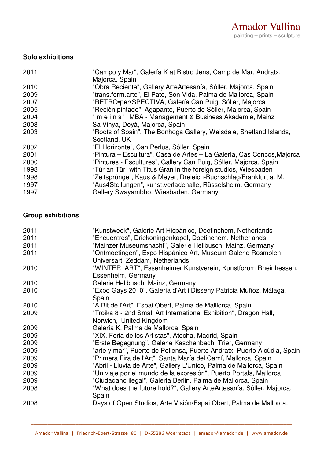## **Solo exhibitions**

| 2011 | "Campo y Mar", Galería K at Bistro Jens, Camp de Mar, Andratx,<br>Majorca, Spain |
|------|----------------------------------------------------------------------------------|
| 2010 | "Obra Reciente", Gallery ArteArtesanía, Sóller, Majorca, Spain                   |
| 2009 | "trans.form.arte", El Pato, Son Vida, Palma de Mallorca, Spain                   |
| 2007 | "RETRO•per•SPECTIVA, Galería Can Puig, Sóller, Majorca                           |
| 2005 | "Recién pintado", Agapanto, Puerto de Sóller, Majorca, Spain                     |
| 2004 | " m e i n s " MBA - Management & Business Akademie, Mainz                        |
| 2003 | Sa Vinya, Deyà, Majorca, Spain                                                   |
| 2003 | "Roots of Spain", The Bonhoga Gallery, Weisdale, Shetland Islands,               |
|      | Scotland, UK                                                                     |
| 2002 | "El Horizonte", Can Perlus, Sóller, Spain                                        |
| 2001 | "Pintura – Escultura", Casa de Artes – La Galería, Cas Concos, Majorca           |
| 2000 | "Pintures - Escultures", Gallery Can Puig, Sóller, Majorca, Spain                |
| 1998 | "Tür an Tür" with Titus Gran in the foreign studios, Wiesbaden                   |
| 1998 | "Zeitsprünge", Kaus & Meyer, Dreieich-Buchschlag/Frankfurt a. M.                 |
| 1997 | "Aus4Stellungen", kunst.verladehalle, Rüsselsheim, Germany                       |
| 1997 | Gallery Swayambho, Wiesbaden, Germany                                            |

## **Group exhibitions**

| 2011 | "Kunstweek", Galerie Art Hispánico, Doetinchem, Netherlands             |
|------|-------------------------------------------------------------------------|
| 2011 | "Encuentros", Driekoningenkapel, Doetinchem, Netherlands                |
| 2011 | "Mainzer Museumsnacht", Galerie Hellbusch, Mainz, Germany               |
| 2011 | "Ontmoetingen", Expo Hispánico Art, Museum Galerie Rosmolen             |
|      | Universart, Zeddam, Netherlands                                         |
| 2010 | "WINTER ART", Essenheimer Kunstverein, Kunstforum Rheinhessen,          |
|      | Essenheim, Germany                                                      |
| 2010 | Galerie Hellbusch, Mainz, Germany                                       |
| 2010 | "Expo Gays 2010", Galería d'Art i Disseny Patricia Muñoz, Málaga,       |
|      | Spain                                                                   |
| 2010 | "A Bit de l'Art", Espai Obert, Palma de Malllorca, Spain                |
| 2009 | "Troika 8 - 2nd Small Art International Exhibition", Dragon Hall,       |
|      | Norwich, United Kingdom                                                 |
| 2009 | Galería K, Palma de Mallorca, Spain                                     |
| 2009 | "XIX. Feria de los Artistas", Atocha, Madrid, Spain                     |
| 2009 | "Erste Begegnung", Galerie Kaschenbach, Trier, Germany                  |
| 2009 | "arte y mar", Puerto de Pollensa, Puerto Andratx, Puerto Alcúdia, Spain |
| 2009 | "Primera Fira de l'Art", Santa María del Camí, Mallorca, Spain          |
| 2009 | "Abril - Lluvia de Arte", Gallery L'Unico, Palma de Mallorca, Spain     |
| 2009 | "Un viaje por el mundo de la expresión", Puerto Portals, Mallorca       |
| 2009 | "Ciudadano ilegal", Galería Berlin, Palma de Mallorca, Spain            |
| 2008 | "What does the future hold?", Gallery ArteArtesanía, Sóller, Majorca,   |
|      | Spain                                                                   |
| 2008 | Days of Open Studios, Arte Visión/Espai Obert, Palma de Mallorca,       |
|      |                                                                         |